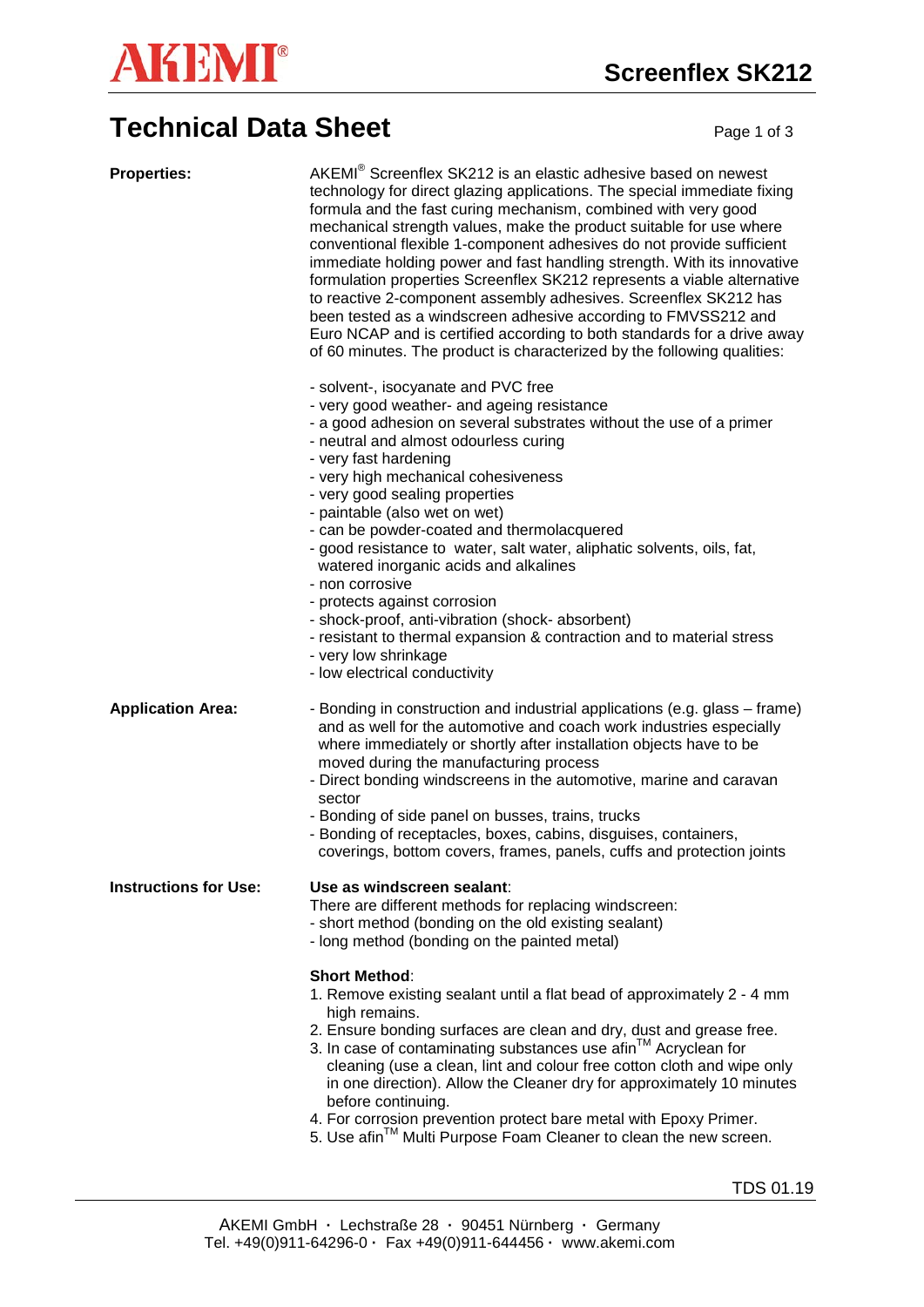

## **Technical Data Sheet** Page 1 of 3

**Properties:** AKEMI<sup>®</sup> Screenflex SK212 is an elastic adhesive based on newest technology for direct glazing applications. The special immediate fixing formula and the fast curing mechanism, combined with very good mechanical strength values, make the product suitable for use where conventional flexible 1-component adhesives do not provide sufficient immediate holding power and fast handling strength. With its innovative formulation properties Screenflex SK212 represents a viable alternative to reactive 2-component assembly adhesives. Screenflex SK212 has been tested as a windscreen adhesive according to FMVSS212 and Euro NCAP and is certified according to both standards for a drive away of 60 minutes. The product is characterized by the following qualities:

- solvent-, isocyanate and PVC free
- very good weather- and ageing resistance
- a good adhesion on several substrates without the use of a primer
- neutral and almost odourless curing
- very fast hardening
- very high mechanical cohesiveness
- very good sealing properties
- paintable (also wet on wet)
- can be powder-coated and thermolacquered
- good resistance to water, salt water, aliphatic solvents, oils, fat, watered inorganic acids and alkalines
- non corrosive
- protects against corrosion
- shock-proof, anti-vibration (shock- absorbent)
- resistant to thermal expansion & contraction and to material stress
- very low shrinkage
- low electrical conductivity

- **Application Area:** Bonding in construction and industrial applications (e.g. glass frame) and as well for the automotive and coach work industries especially where immediately or shortly after installation objects have to be moved during the manufacturing process
	- Direct bonding windscreens in the automotive, marine and caravan sector
	- Bonding of side panel on busses, trains, trucks
	- Bonding of receptacles, boxes, cabins, disguises, containers, coverings, bottom covers, frames, panels, cuffs and protection joints

### **Instructions for Use: Use as windscreen sealant**:

- - There are different methods for replacing windscreen:
	- short method (bonding on the old existing sealant)
	- long method (bonding on the painted metal)

## **Short Method**:

- 1. Remove existing sealant until a flat bead of approximately 2 4 mm high remains.
- 2. Ensure bonding surfaces are clean and dry, dust and grease free.
- 3. In case of contaminating substances use afin™ Acryclean for cleaning (use a clean, lint and colour free cotton cloth and wipe only in one direction). Allow the Cleaner dry for approximately 10 minutes before continuing.
- 4. For corrosion prevention protect bare metal with Epoxy Primer.
- $\frac{1}{10}$ . Use afin<sup>TM</sup> Multi Purpose Foam Cleaner to clean the new screen.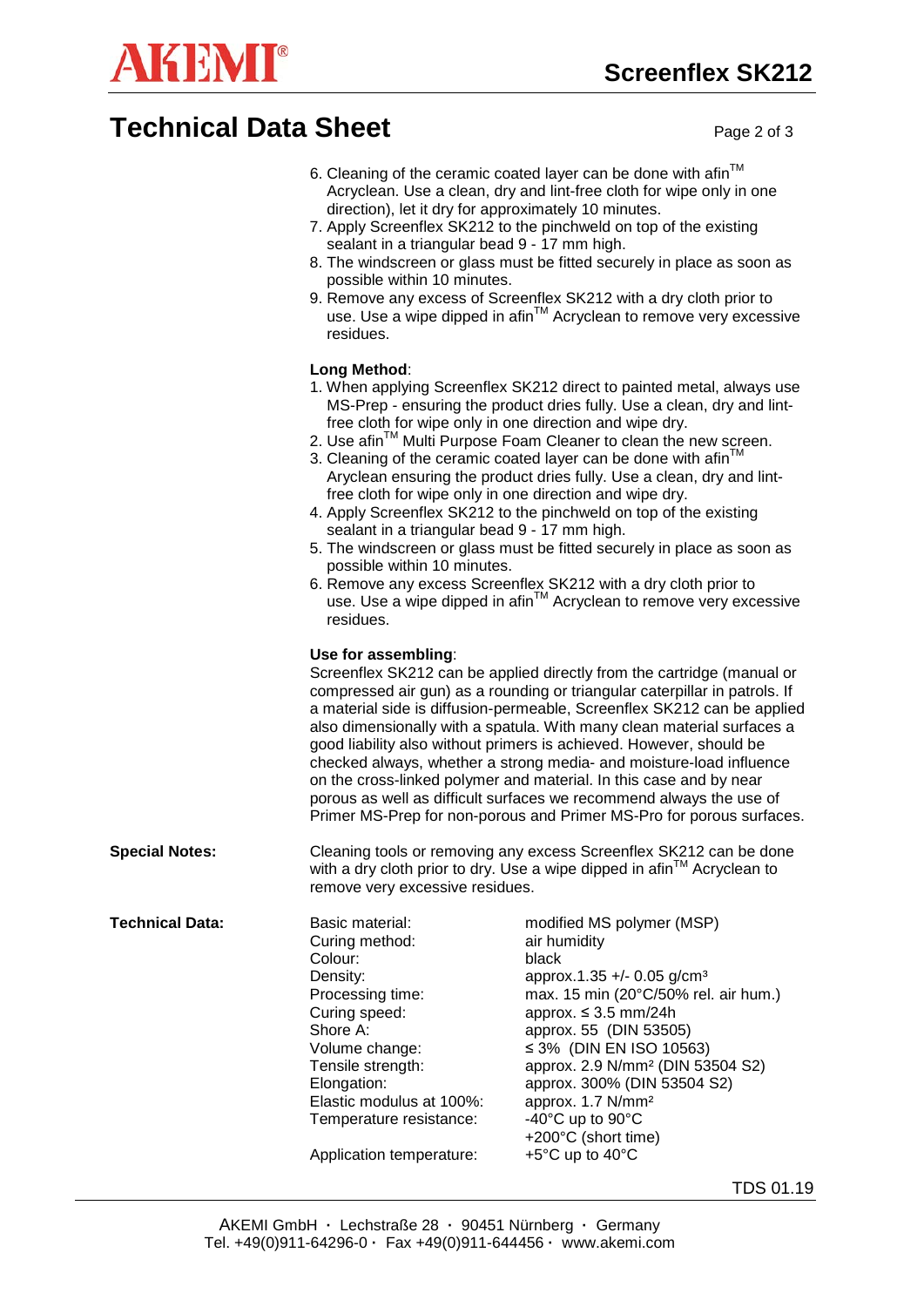# **Technical Data Sheet**

**AKEMI®** 

| Page 2 of 3 |  |  |
|-------------|--|--|
|             |  |  |

|                        | direction), let it dry for approximately 10 minutes.<br>sealant in a triangular bead 9 - 17 mm high.<br>possible within 10 minutes.<br>residues.                                                                                                                                                                                                                                                                                                                                                                                                                                                                                                                                                    | 6. Cleaning of the ceramic coated layer can be done with afin™<br>Acryclean. Use a clean, dry and lint-free cloth for wipe only in one<br>7. Apply Screenflex SK212 to the pinchweld on top of the existing<br>8. The windscreen or glass must be fitted securely in place as soon as<br>9. Remove any excess of Screenflex SK212 with a dry cloth prior to<br>use. Use a wipe dipped in afin™ Acryclean to remove very excessive                                                                                                                                                                                                                                                                                                                                            |  |
|------------------------|-----------------------------------------------------------------------------------------------------------------------------------------------------------------------------------------------------------------------------------------------------------------------------------------------------------------------------------------------------------------------------------------------------------------------------------------------------------------------------------------------------------------------------------------------------------------------------------------------------------------------------------------------------------------------------------------------------|------------------------------------------------------------------------------------------------------------------------------------------------------------------------------------------------------------------------------------------------------------------------------------------------------------------------------------------------------------------------------------------------------------------------------------------------------------------------------------------------------------------------------------------------------------------------------------------------------------------------------------------------------------------------------------------------------------------------------------------------------------------------------|--|
|                        | Long Method:<br>sealant in a triangular bead 9 - 17 mm high.<br>possible within 10 minutes.<br>residues.                                                                                                                                                                                                                                                                                                                                                                                                                                                                                                                                                                                            | 1. When applying Screenflex SK212 direct to painted metal, always use<br>MS-Prep - ensuring the product dries fully. Use a clean, dry and lint-<br>free cloth for wipe only in one direction and wipe dry.<br>2. Use afin™ Multi Purpose Foam Cleaner to clean the new screen.<br>3. Cleaning of the ceramic coated layer can be done with afin™<br>Aryclean ensuring the product dries fully. Use a clean, dry and lint-<br>free cloth for wipe only in one direction and wipe dry.<br>4. Apply Screenflex SK212 to the pinchweld on top of the existing<br>5. The windscreen or glass must be fitted securely in place as soon as<br>6. Remove any excess Screenflex SK212 with a dry cloth prior to<br>use. Use a wipe dipped in afin™ Acryclean to remove very excessive |  |
|                        | Use for assembling:<br>Screenflex SK212 can be applied directly from the cartridge (manual or<br>compressed air gun) as a rounding or triangular caterpillar in patrols. If<br>a material side is diffusion-permeable, Screenflex SK212 can be applied<br>also dimensionally with a spatula. With many clean material surfaces a<br>good liability also without primers is achieved. However, should be<br>checked always, whether a strong media- and moisture-load influence<br>on the cross-linked polymer and material. In this case and by near<br>porous as well as difficult surfaces we recommend always the use of<br>Primer MS-Prep for non-porous and Primer MS-Pro for porous surfaces. |                                                                                                                                                                                                                                                                                                                                                                                                                                                                                                                                                                                                                                                                                                                                                                              |  |
| <b>Special Notes:</b>  | Cleaning tools or removing any excess Screenflex SK212 can be done<br>with a dry cloth prior to dry. Use a wipe dipped in afin™ Acryclean to<br>remove very excessive residues.                                                                                                                                                                                                                                                                                                                                                                                                                                                                                                                     |                                                                                                                                                                                                                                                                                                                                                                                                                                                                                                                                                                                                                                                                                                                                                                              |  |
| <b>Technical Data:</b> | Basic material:<br>Curing method:<br>Colour:<br>Density:<br>Processing time:<br>Curing speed:<br>Shore A:<br>Volume change:<br>Tensile strength:<br>Elongation:<br>Elastic modulus at 100%:<br>Temperature resistance:<br>Application temperature:                                                                                                                                                                                                                                                                                                                                                                                                                                                  | modified MS polymer (MSP)<br>air humidity<br>black<br>approx.1.35 +/- 0.05 g/cm <sup>3</sup><br>max. 15 min (20°C/50% rel. air hum.)<br>approx. $\leq 3.5$ mm/24h<br>approx. 55 (DIN 53505)<br>≤ 3% (DIN EN ISO 10563)<br>approx. 2.9 N/mm <sup>2</sup> (DIN 53504 S2)<br>approx. 300% (DIN 53504 S2)<br>approx. 1.7 N/mm <sup>2</sup><br>-40 $^{\circ}$ C up to 90 $^{\circ}$ C<br>+200°C (short time)<br>+5°C up to 40°C                                                                                                                                                                                                                                                                                                                                                   |  |
|                        |                                                                                                                                                                                                                                                                                                                                                                                                                                                                                                                                                                                                                                                                                                     | <b>TDS 01.19</b>                                                                                                                                                                                                                                                                                                                                                                                                                                                                                                                                                                                                                                                                                                                                                             |  |